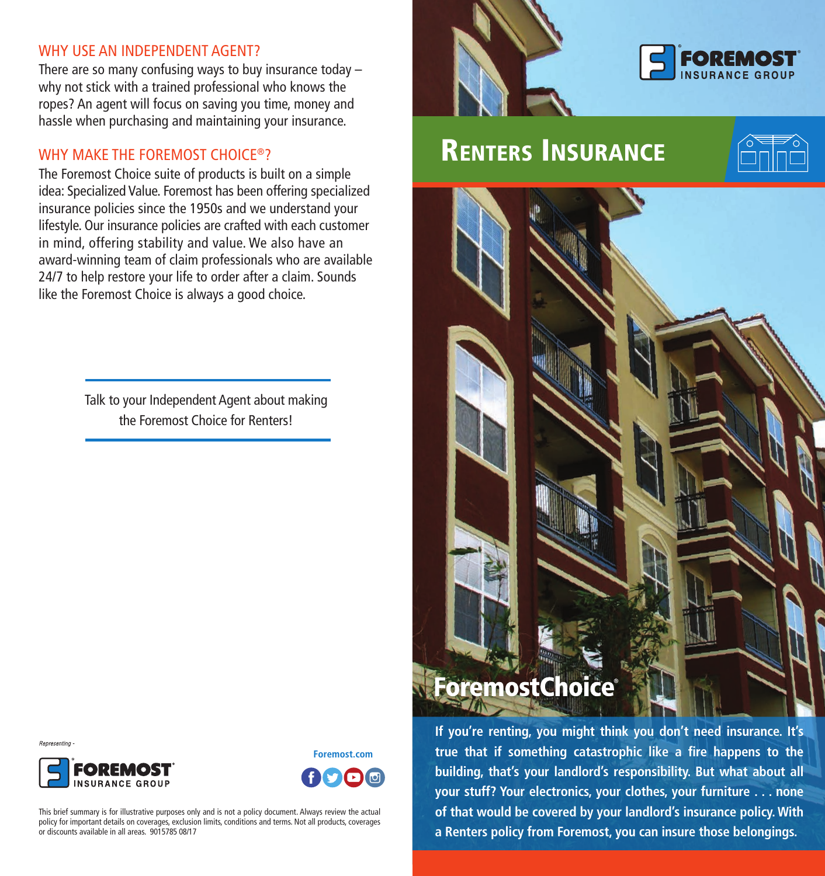### WHY USE AN INDEPENDENT AGENT?

There are so many confusing ways to buy insurance today – why not stick with a trained professional who knows the ropes? An agent will focus on saving you time, money and hassle when purchasing and maintaining your insurance.

### WHY MAKE THE FOREMOST CHOICE®?

The Foremost Choice suite of products is built on a simple idea: Specialized Value. Foremost has been offering specialized insurance policies since the 1950s and we understand your lifestyle. Our insurance policies are crafted with each customer in mind, offering stability and value. We also have an award-winning team of claim professionals who are available 24/7 to help restore your life to order after a claim. Sounds like the Foremost Choice is always a good choice.

> Talk to your Independent Agent about making the Foremost Choice for Renters!



# RENTERS INSURANCE





**If you're renting, you might think you don't need insurance. It's true that if something catastrophic like a fire happens to the building, that's your landlord's responsibility. But what about all your stuff? Your electronics, your clothes, your furniture . . . none of that would be covered by your landlord's insurance policy. With a Renters policy from Foremost, you can insure those belongings.** 

Representing



**Foremost.com** 

This brief summary is for illustrative purposes only and is not a policy document. Always review the actual policy for important details on coverages, exclusion limits, conditions and terms. Not all products, coverages or discounts available in all areas. 9015785 08/17